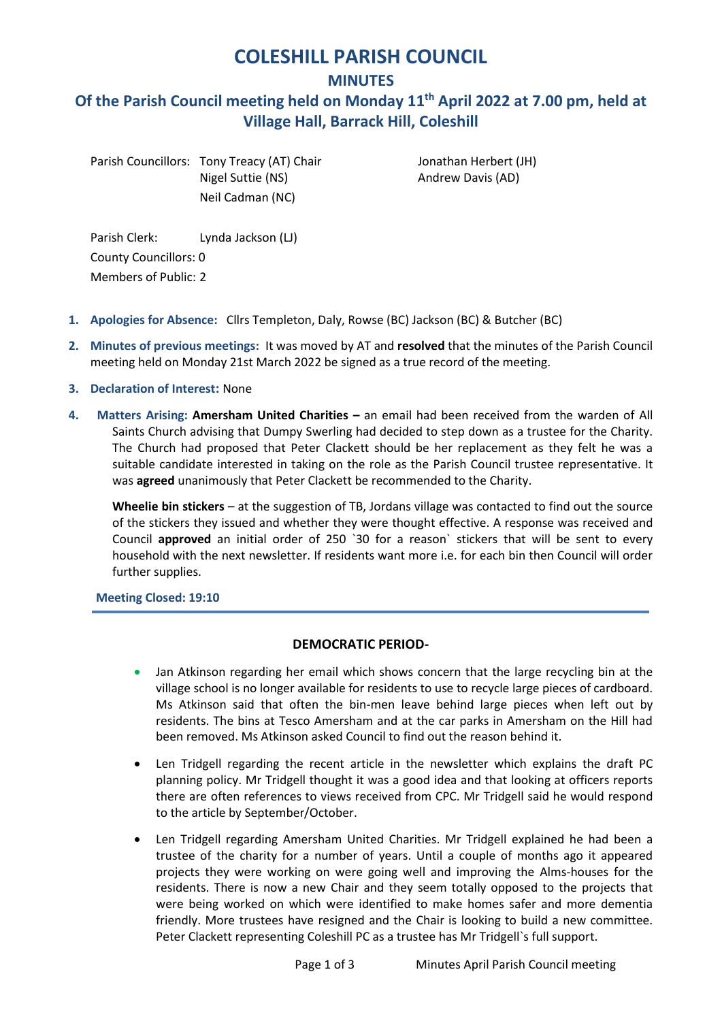# **COLESHILL PARISH COUNCIL**

**MINUTES**

# **Of the Parish Council meeting held on Monday 11th April 2022 at 7.00 pm, held at Village Hall, Barrack Hill, Coleshill**

Parish Councillors: Tony Treacy (AT) Chair Jonathan Herbert (JH) Nigel Suttie (NS) and rew Davis (AD) Neil Cadman (NC)

Parish Clerk: Lynda Jackson (LJ) County Councillors: 0 Members of Public: 2

- **1. Apologies for Absence:** Cllrs Templeton, Daly, Rowse (BC) Jackson (BC) & Butcher (BC)
- **2. Minutes of previous meetings:** It was moved by AT and **resolved** that the minutes of the Parish Council meeting held on Monday 21st March 2022 be signed as a true record of the meeting.
- **3. Declaration of Interest:** None
- **4. Matters Arising: Amersham United Charities –** an email had been received from the warden of All Saints Church advising that Dumpy Swerling had decided to step down as a trustee for the Charity. The Church had proposed that Peter Clackett should be her replacement as they felt he was a suitable candidate interested in taking on the role as the Parish Council trustee representative. It was **agreed** unanimously that Peter Clackett be recommended to the Charity.

**Wheelie bin stickers** – at the suggestion of TB, Jordans village was contacted to find out the source of the stickers they issued and whether they were thought effective. A response was received and Council **approved** an initial order of 250 `30 for a reason` stickers that will be sent to every household with the next newsletter. If residents want more i.e. for each bin then Council will order further supplies.

## **Meeting Closed: 19:10**

## **DEMOCRATIC PERIOD-**

- Jan Atkinson regarding her email which shows concern that the large recycling bin at the village school is no longer available for residents to use to recycle large pieces of cardboard. Ms Atkinson said that often the bin-men leave behind large pieces when left out by residents. The bins at Tesco Amersham and at the car parks in Amersham on the Hill had been removed. Ms Atkinson asked Council to find out the reason behind it.
- Len Tridgell regarding the recent article in the newsletter which explains the draft PC planning policy. Mr Tridgell thought it was a good idea and that looking at officers reports there are often references to views received from CPC. Mr Tridgell said he would respond to the article by September/October.
- Len Tridgell regarding Amersham United Charities. Mr Tridgell explained he had been a trustee of the charity for a number of years. Until a couple of months ago it appeared projects they were working on were going well and improving the Alms-houses for the residents. There is now a new Chair and they seem totally opposed to the projects that were being worked on which were identified to make homes safer and more dementia friendly. More trustees have resigned and the Chair is looking to build a new committee. Peter Clackett representing Coleshill PC as a trustee has Mr Tridgell`s full support.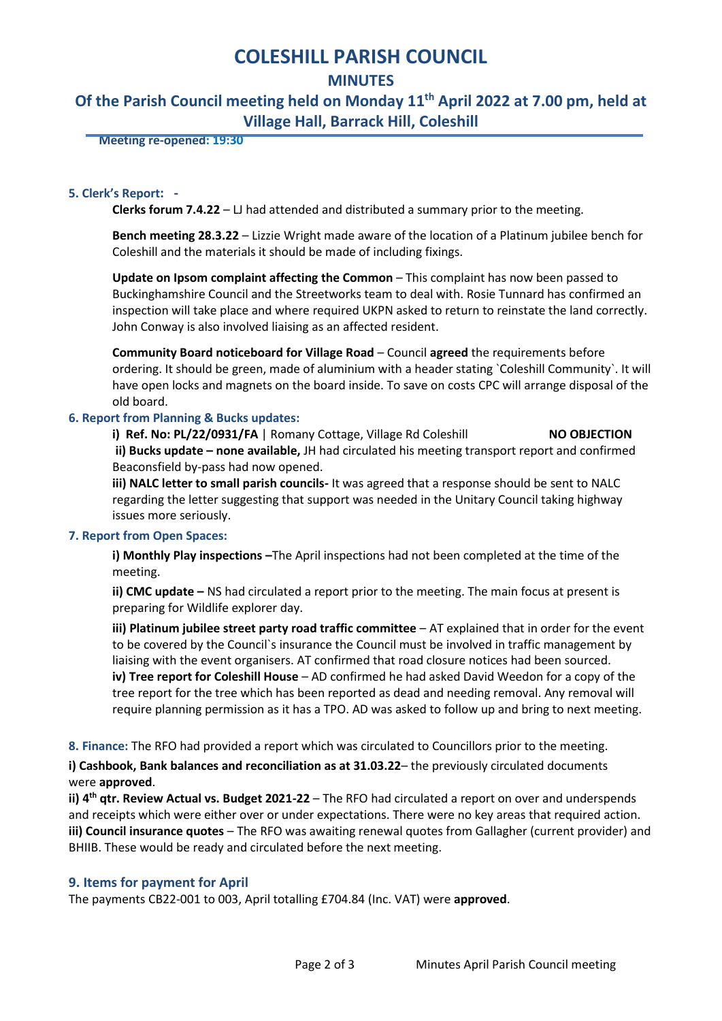# **COLESHILL PARISH COUNCIL**

## **MINUTES**

# **Of the Parish Council meeting held on Monday 11th April 2022 at 7.00 pm, held at Village Hall, Barrack Hill, Coleshill**

 **Meeting re-opened: 19:30**

#### **5. Clerk's Report: -**

**Clerks forum 7.4.22** – LJ had attended and distributed a summary prior to the meeting.

**Bench meeting 28.3.22** – Lizzie Wright made aware of the location of a Platinum jubilee bench for Coleshill and the materials it should be made of including fixings.

**Update on Ipsom complaint affecting the Common** – This complaint has now been passed to Buckinghamshire Council and the Streetworks team to deal with. Rosie Tunnard has confirmed an inspection will take place and where required UKPN asked to return to reinstate the land correctly. John Conway is also involved liaising as an affected resident.

**Community Board noticeboard for Village Road** – Council **agreed** the requirements before ordering. It should be green, made of aluminium with a header stating `Coleshill Community`. It will have open locks and magnets on the board inside. To save on costs CPC will arrange disposal of the old board.

#### **6. Report from Planning & Bucks updates:**

**i) Ref. No: PL/22/0931/FA** | Romany Cottage, Village Rd Coleshill **NO OBJECTION ii) Bucks update – none available,** JH had circulated his meeting transport report and confirmed Beaconsfield by-pass had now opened.

**iii) NALC letter to small parish councils-** It was agreed that a response should be sent to NALC regarding the letter suggesting that support was needed in the Unitary Council taking highway issues more seriously.

#### **7. Report from Open Spaces:**

**i) Monthly Play inspections –**The April inspections had not been completed at the time of the meeting.

**ii) CMC update –** NS had circulated a report prior to the meeting. The main focus at present is preparing for Wildlife explorer day.

**iii) Platinum jubilee street party road traffic committee** – AT explained that in order for the event to be covered by the Council`s insurance the Council must be involved in traffic management by liaising with the event organisers. AT confirmed that road closure notices had been sourced. **iv) Tree report for Coleshill House** – AD confirmed he had asked David Weedon for a copy of the tree report for the tree which has been reported as dead and needing removal. Any removal will require planning permission as it has a TPO. AD was asked to follow up and bring to next meeting.

**8. Finance:** The RFO had provided a report which was circulated to Councillors prior to the meeting.

**i) Cashbook, Bank balances and reconciliation as at 31.03.22**– the previously circulated documents were **approved**.

ii) 4<sup>th</sup> qtr. Review Actual vs. Budget 2021-22 - The RFO had circulated a report on over and underspends and receipts which were either over or under expectations. There were no key areas that required action. **iii) Council insurance quotes** – The RFO was awaiting renewal quotes from Gallagher (current provider) and BHIIB. These would be ready and circulated before the next meeting.

## **9. Items for payment for April**

The payments CB22-001 to 003, April totalling £704.84 (Inc. VAT) were **approved**.